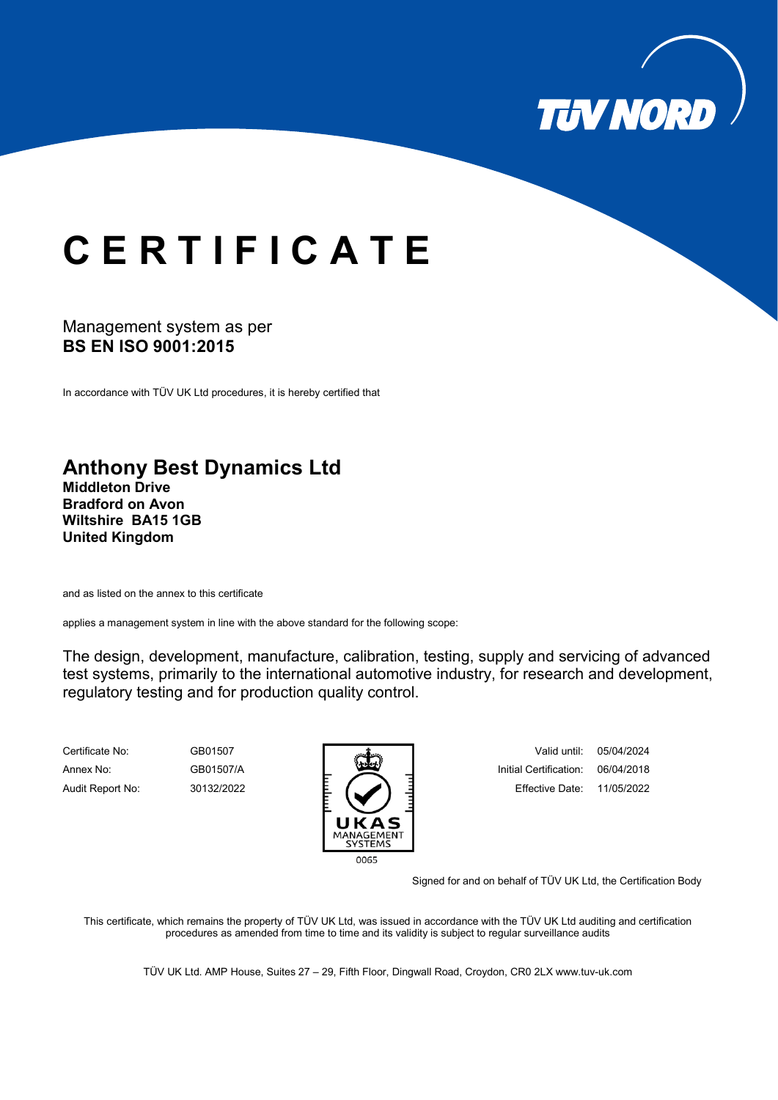

## **C E R T I F I C A T E**

## Management system as per **BS EN ISO 9001:2015**

In accordance with TÜV UK Ltd procedures, it is hereby certified that

## **Anthony Best Dynamics Ltd**

**Middleton Drive Bradford on Avon Wiltshire BA15 1GB United Kingdom**

and as listed on the annex to this certificate

applies a management system in line with the above standard for the following scope:

The design, development, manufacture, calibration, testing, supply and servicing of advanced test systems, primarily to the international automotive industry, for research and development, regulatory testing and for production quality control.



Certificate No: GB01507 Valid until: 05/04/2024 Annex No: GB01507/A **Initial Certification: 06/04/2018** Audit Report No: 30132/2022 E. **E. E. E. E. E. E**. Effective Date: 11/05/2022

Signed for and on behalf of TÜV UK Ltd, the Certification Body

This certificate, which remains the property of TÜV UK Ltd, was issued in accordance with the TÜV UK Ltd auditing and certification procedures as amended from time to time and its validity is subject to regular surveillance audits

TÜV UK Ltd. AMP House, Suites 27 – 29, Fifth Floor, Dingwall Road, Croydon, CR0 2L[X www.tuv-uk.com](http://www.tuv-uk.com/)